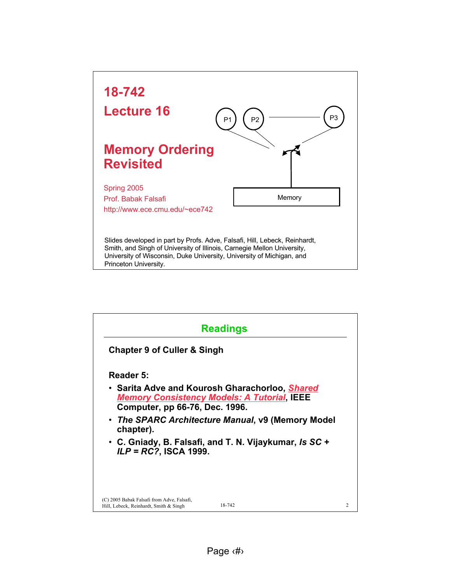

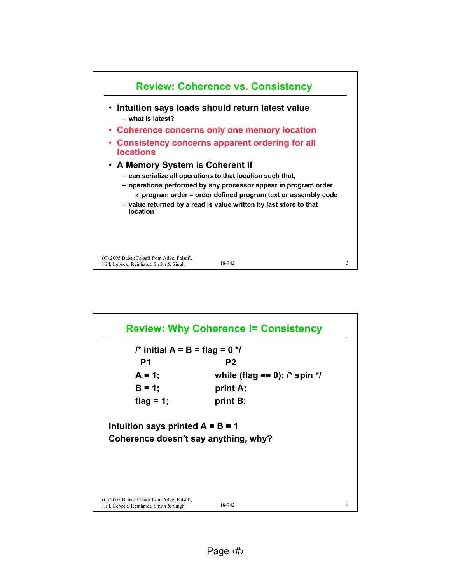

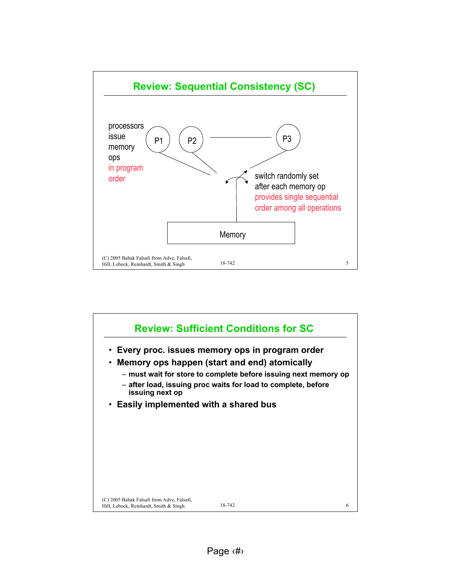

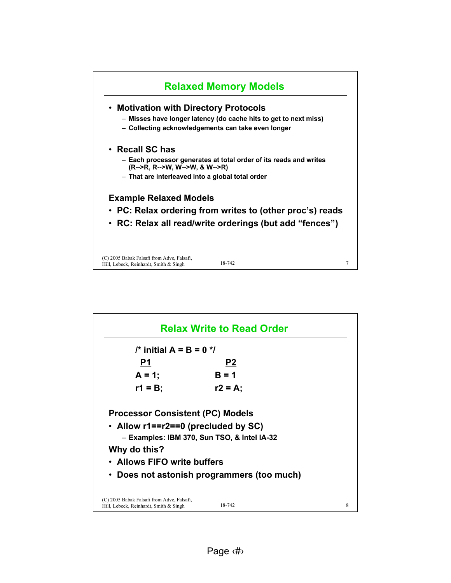

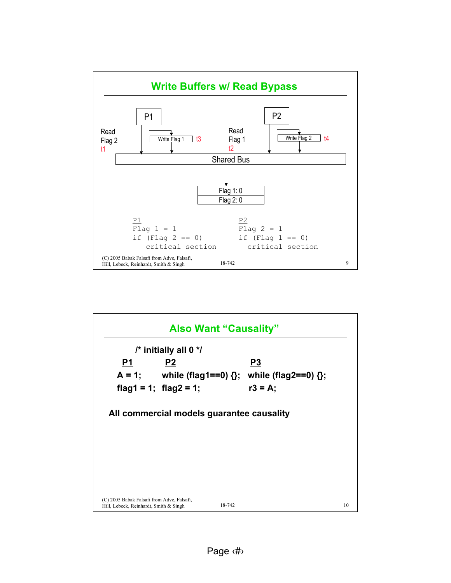

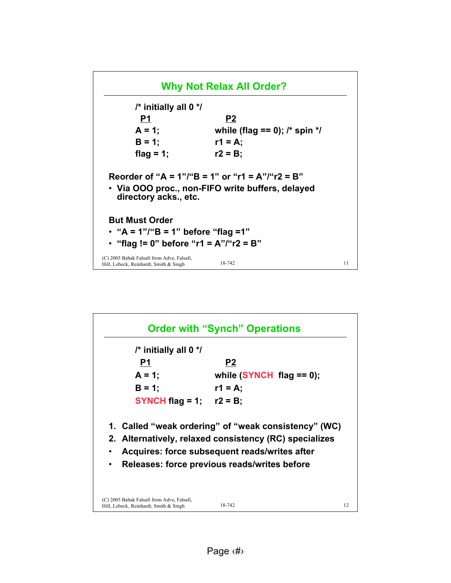

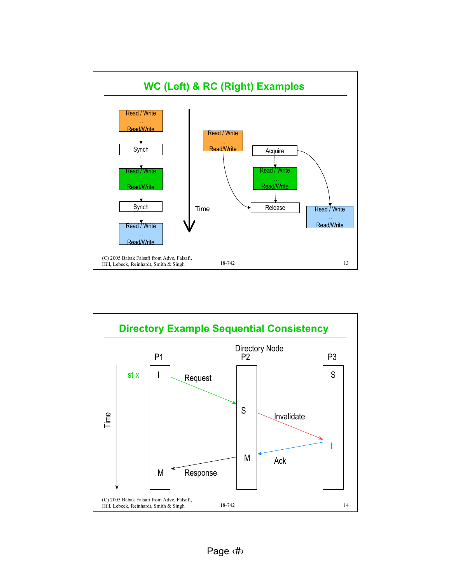

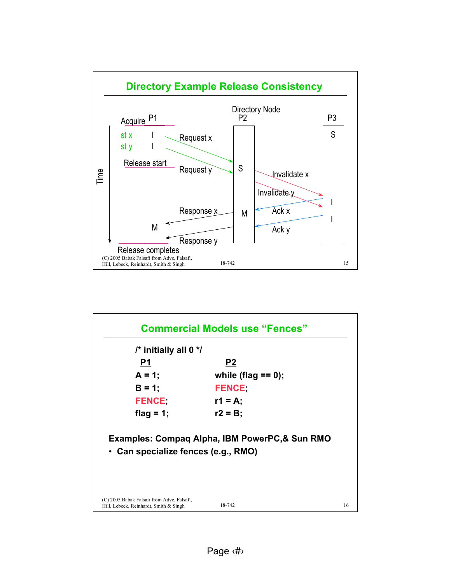

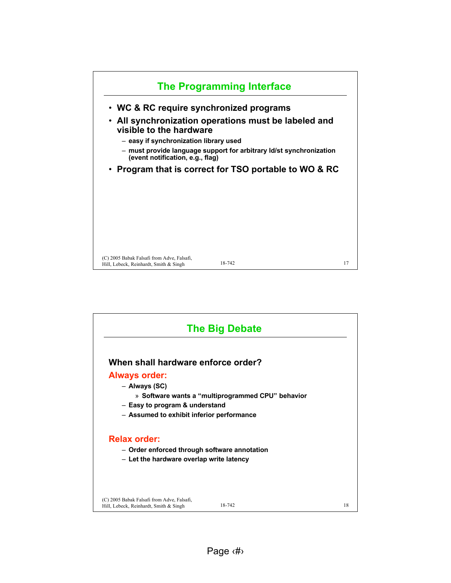

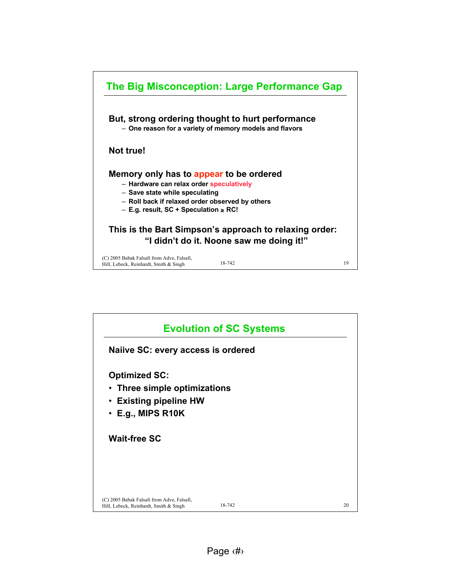

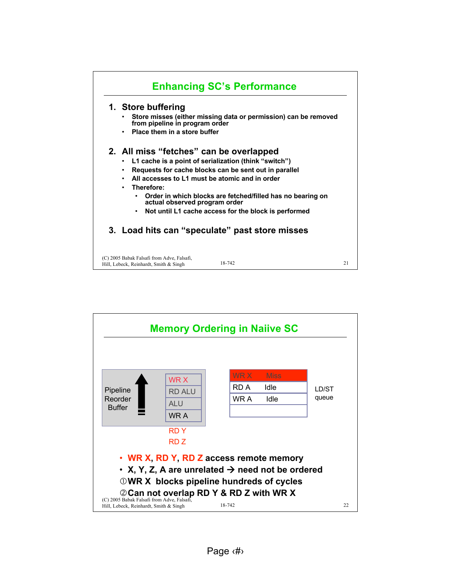

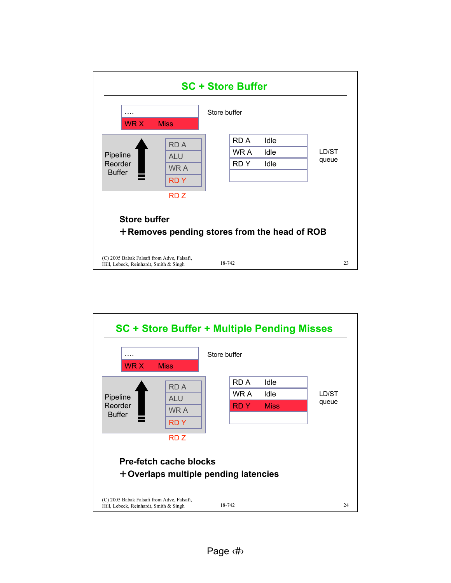

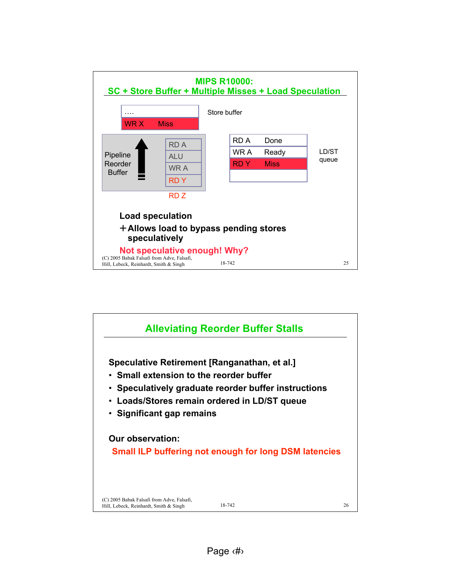

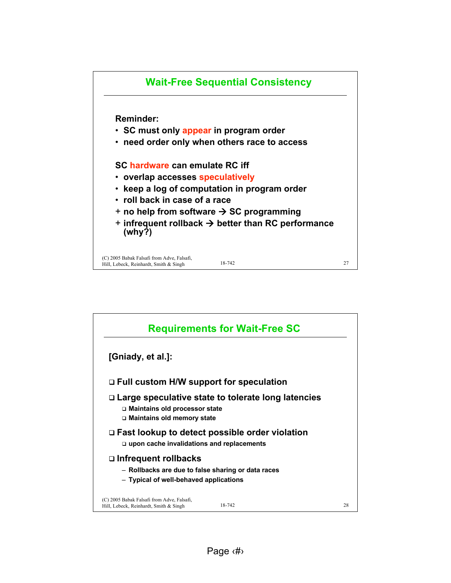

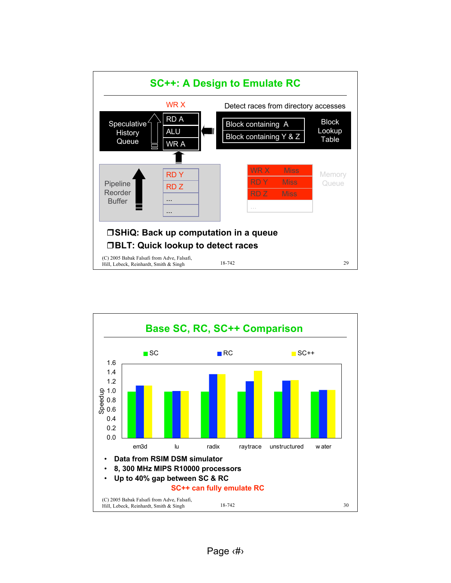

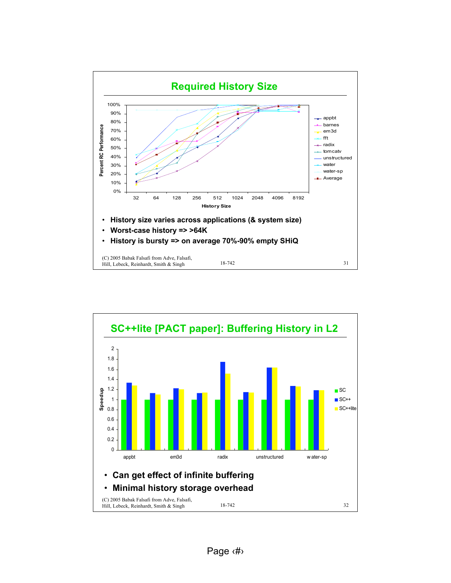